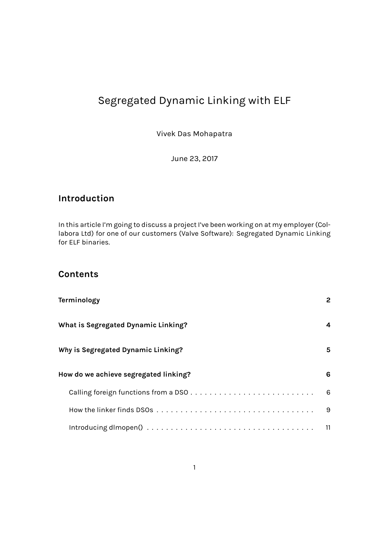# Segregated Dynamic Linking with ELF

Vivek Das Mohapatra

June 23, 2017

## **Introduction**

In this article I'm going to discuss a project I've been working on at my employer (Collabora Ltd) for one of our customers (Valve Software): Segregated Dynamic Linking for ELF binaries.

## **[Content](https://www.collabora.com/)s**

| Terminology                                                                                                           | 2 |
|-----------------------------------------------------------------------------------------------------------------------|---|
| What is Segregated Dynamic Linking?                                                                                   | 4 |
| Why is Segregated Dynamic Linking?                                                                                    | 5 |
| How do we achieve segregated linking?                                                                                 | 6 |
|                                                                                                                       | 6 |
|                                                                                                                       | 9 |
| Introducing dimopen() $\ldots \ldots \ldots \ldots \ldots \ldots \ldots \ldots \ldots \ldots \ldots \ldots \ldots$ 11 |   |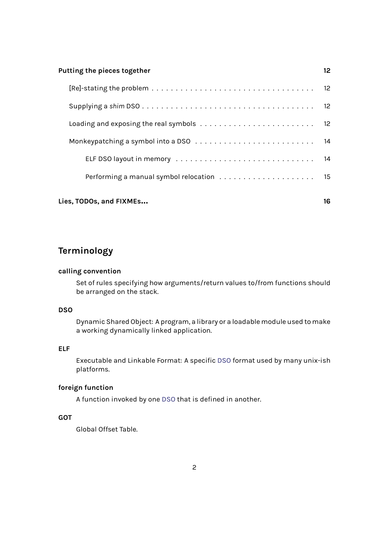#### **Putting the pieces together 12**

| Lies, TODOs, and FIXMEs                                                                 |  |
|-----------------------------------------------------------------------------------------|--|
|                                                                                         |  |
|                                                                                         |  |
|                                                                                         |  |
| Loading and exposing the real symbols $\dots \dots \dots \dots \dots \dots \dots \dots$ |  |
|                                                                                         |  |
|                                                                                         |  |

## <span id="page-1-0"></span>**Terminology**

## **calling convention**

Set of rules specifying how arguments/return values to/from functions should be arranged on the stack.

### **DSO**

Dynamic Shared Object: A program, a library or a loadable module used to make a working dynamically linked application.

## <span id="page-1-1"></span>**ELF**

Executable and Linkable Format: A specific DSO format used by many unix-ish platforms.

## <span id="page-1-4"></span>**foreign function**

A function invoked by one DSO that is defin[ed in](#page-1-1) another.

## <span id="page-1-2"></span>**GOT**

<span id="page-1-3"></span>Global Offset Table.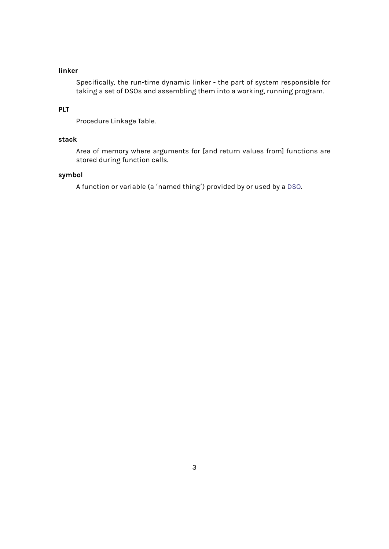## **linker**

Specifically, the run-time dynamic linker - the part of system responsible for taking a set of DSOs and assembling them into a working, running program.

### <span id="page-2-0"></span>**PLT**

Procedure Linkage Table.

### <span id="page-2-1"></span>**stack**

Area of memory where arguments for [and return values from] functions are stored during function calls.

#### **symbol**

<span id="page-2-2"></span>A function or variable (a 'named thing') provided by or used by a DSO.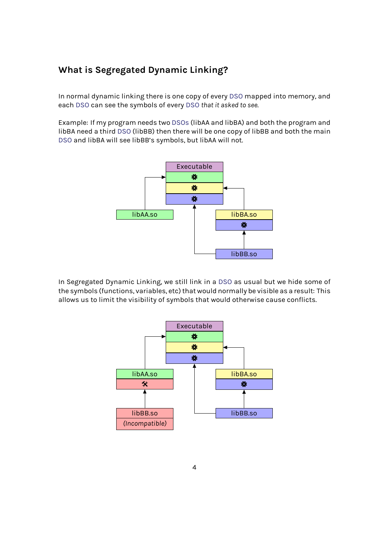## **What is Segregated Dynamic Linking?**

<span id="page-3-0"></span>In normal dynamic linking there is one copy of every DSO mapped into memory, and each DSO can see the symbols of every DSO *that it asked to see*.

Example: If my program needs two DSOs (libAA and libBA) and both the program and libBA need a third DSO (libBB) then there will be one [copy](#page-1-1) of libBB and both the main DSO [and l](#page-1-1)ibBA will see libBB's symbols, [but](#page-1-1) libAA will not.



In Segregated Dynamic Linking, we still link in a DSO as usual but we hide some of the symbols (functions, variables, etc) that would normally be visible as a result: This allows us to limit the visibility of symbols that would otherwise cause conflicts.

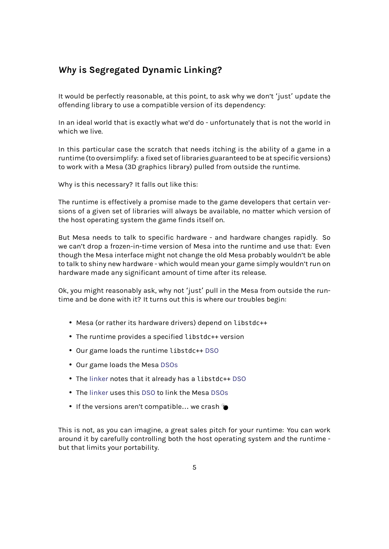## *Why* **is Segregated Dynamic Linking?**

<span id="page-4-0"></span>It would be perfectly reasonable, at this point, to ask why we don't 'just' update the offending library to use a compatible version of its dependency:

In an ideal world that is exactly what we'd do - unfortunately that is not the world in which we live.

In this particular case the scratch that needs itching is the ability of a game in a runtime (to oversimplify: a fixed set of libraries guaranteed to be at specific versions) to work with a Mesa (3D graphics library) pulled from outside the runtime.

Why is this necessary? It falls out like this:

The runtime is effectively a promise made to the game developers that certain versions of a given set of libraries will always be available, no matter which version of the host operating system the game finds itself on.

But Mesa needs to talk to specific hardware - and hardware changes rapidly. So we can't drop a frozen-in-time version of Mesa into the runtime and use that: Even though the Mesa interface might not change the old Mesa probably wouldn't be able to talk to shiny new hardware - which would mean your game simply wouldn't run on hardware made any significant amount of time after its release.

Ok, you might reasonably ask, why not 'just' pull in the Mesa from outside the runtime and be done with it? It turns out this is where our troubles begin:

- Mesa (or rather its hardware drivers) depend on libstdc++
- The runtime provides a specified libstdc++ version
- Our game loads the runtime libstdc++ DSO
- Our game loads the Mesa DSOs
- The linker notes that it already has a li[bstd](#page-1-1)c++ DSO
- The linker uses this DSO t[o link](#page-1-1) the Mesa DSOs
- If th[e versi](#page-2-0)ons aren't compatible... we crash

This is n[ot, as y](#page-2-0)ou can i[magin](#page-1-1)e, a great sales [pitch](#page-1-1) for your runtime: You can work around it by carefully controlling both the host operating system *and* the runtime but that limits your portability.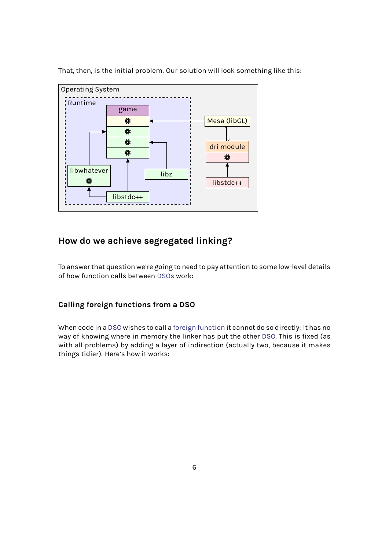That, then, is the initial problem. Our solution will look something like this:



## **How do we achieve segregated linking?**

<span id="page-5-0"></span>To answer that question we're going to need to pay attention to some low-level details of how function calls between DSOs work:

## **Calling foreign functions f[rom a](#page-1-1) DSO**

<span id="page-5-1"></span>When code in a DSO wishes to call a foreign function it cannot do so directly: It has no way of knowing where in memory the linker has put the other DSO. This is fixed (as with all problems) by adding a layer of indirection (actually two, because it makes things tidier). [Here's](#page-1-1) how it works: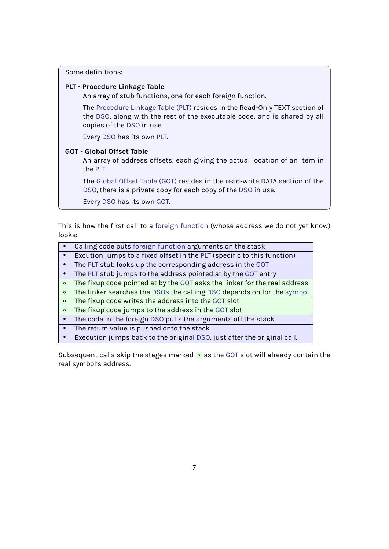Some definitions:

### **PLT - Procedure Linkage Table**

An array of stub functions, one for each foreign function.

The Procedure Linkage Table (PLT) resides in the Read-Only TEXT section of the DSO, along with the rest of the executable code, and is shared by all copies of the DSO in use.

Every DSO [has its own](#page-2-1) PLT.

## **GOT - Glo[bal O](#page-1-1)ffset Table**

An array of a[ddre](#page-1-1)ss offsets, each giving the actual location of an item in the P[LT.](#page-1-1)

The Global Offset Table (GOT) resides in the read-write DATA section of the DSO, there is a private copy for each copy of the DSO in use.

Eve[ry](#page-2-1) DSO has its own GOT.

This is [how](#page-1-1) the first call to a foreign function (whose [addre](#page-1-1)ss we do not yet know) looks:

- Calling code puts foreign function arguments on the stack
- Excution jumps to a fixe[d offset in the](#page-1-2) PLT (specific to this function)
- The PLT stub looks up the corresponding address in the GOT
- The PLT stub jumps to the address pointed at by the GOT entry
- The fixup code po[inted at by the](#page-1-2) GOT a[sks](#page-2-1) the linker for the real address
- The linker searches the DSOs the calling DSO dependso[n for](#page-1-3) the symbol
- The [fixu](#page-2-1)p code writes the address into the GOT slot
- The [fixu](#page-2-1)p code jumps to the address in the GOT slot
- The code in the foreign DSO pull[s the](#page-1-3) arg[ume](#page-1-1)nts off the stack
- The return value is pus[hed on](#page-1-1)to the stack
- Execution jumps back to the original DSO, [just a](#page-1-3)fter the original call.

Subsequent calls skip the s[tages](#page-1-1) marked · as the GOT slot will already contain the real symbol's address.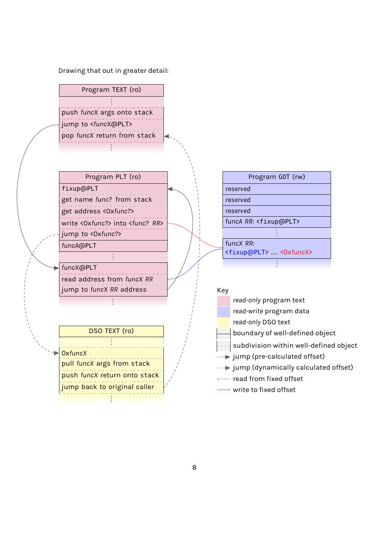

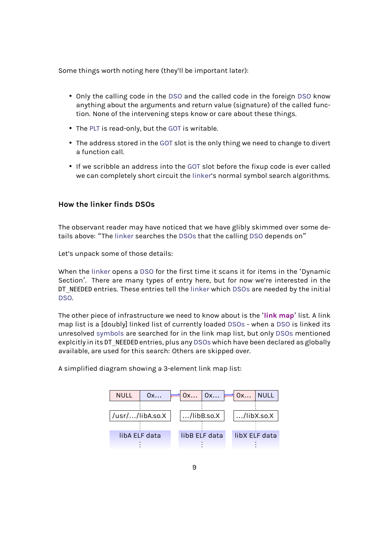Some things worth noting here (they'll be important later):

- Only the calling code in the DSO and the called code in the foreign DSO know anything about the arguments and return value (signature) of the called function. None of the intervening steps know or care about these things.
- The PLT is read-only, but the [GOT](#page-1-1) is writable.
- The address stored in the GOT slot is the only thing we need to change to divert a function call.
- If w[e sc](#page-2-1)ribble an address in[to th](#page-1-3)e GOT slot before the fixup code is ever called we can completely short [circu](#page-1-3)it the linker's normal symbol search algorithms.

## **How the linker finds DSOs**

The observant reader may have noticed that we have glibly skimmed over some details above: "The linker searches the DSOs that the calling DSO depends on"

Let's unpack some of those details:

When the linker [opens](#page-2-0) a DSO for the [first t](#page-1-1)ime it scans itf[or ite](#page-1-1)ms in the 'Dynamic Section'. There are many types of entry here, but for now we're interested in the DT NEEDED entries. These entries tell the linker which DSOs are needed by the initial DSO.

The other piece of infrastructure we need to know about is the '**link map**' list. A link map list is a [doubly] linked list of curre[ntly lo](#page-2-0)aded D[SOs](#page-1-1) - when a DSO is linked its [unre](#page-1-1)solved symbols are searched for in the link map list, but only DSOs mentioned explcitly in its DT\_NEEDED entries, plus any DSOs which have been declared as globally available, are used for this search: Others are skipp[ed ove](#page-1-1)r.

A simplifie[d diagram](#page-2-2) showing a 3-eleme[nt link](#page-1-1) map list:

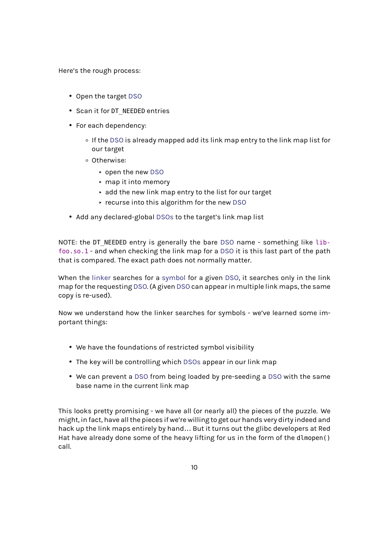Here's the rough process:

- Open the target DSO
- Scan it for DT\_NEEDED entries
- For each depen[dency](#page-1-1):
	- If the DSO is already mapped add its link map entry to the link map list for our target
	- Otherwise:
		- ▸ o[pen t](#page-1-1)he new DSO
		- ▸ map it into memory
		- ▸ add the new link map entry to the list for our target
		- ▸ recurse intot[his a](#page-1-1)lgorithm for the new DSO
- Add any declared-global DSOs to the target's link map list

NOTE: the DT NEEDED entry is generally the bare DSO [nam](#page-1-1)e - something like libfoo.so.1 - and when checkin[g the l](#page-1-1)ink map for a DSO it is this last part of the path that is compared. The exact path does not normally matter.

When the linker searches for a symbol for a given [DS](#page-1-1)O, it searches only in the link map for the requesting DSO. (A given DSO can app[ear in](#page-1-1) multiple link maps, the same copy is re-used).

Now we u[nderst](#page-2-0)and h[ow th](#page-1-1)e li[nker sea](#page-2-2)[rc](#page-1-1)hes for s[ymbo](#page-1-1)ls - we've learned some important things:

- We have the foundations of restricted symbol visibility
- The key will be controlling which DSOs appear in our link map
- We can prevent a DSO from being loaded by pre-seeding a DSO with the same base name in the current link map

This looks pretty promi[sing](#page-1-1) - we have all (or nearly all) the piec[es of](#page-1-1) the puzzle. We might, in fact, have all the pieces if we're willing to get our hands very dirty indeed and hack up the link maps entirely by hand… But it turns out the glibc developers at Red Hat have already done some of the heavy lifting for us in the form of the dlmopen() call.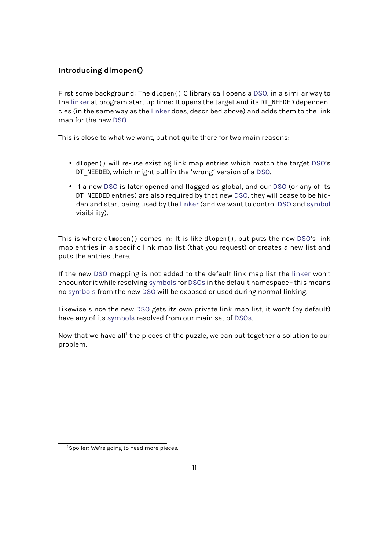## **Introducing dlmopen()**

First some background: The dlopen() C library call opens a DSO, in a similar way to the linker at program start up time: It opens the target and its DT\_NEEDED dependencies (in the same way as the linker does, described above) and adds them to the link map for the new DSO.

Thi[s is clo](#page-2-0)se to what we wan[t, but n](#page-2-0)ot quite there for two main reasons:

- dlopen() will re-use existing link map entries which match the target DSO's DT NEEDED, which might pull in the 'wrong' version of a DSO.
- If a new DSO is later opened and flagged as global, and our DSO (or any of its DT NEEDED entries) are also required by that new DSO, they will cease to [be hid](#page-1-1)den and start being used by the linker (and we want to [contr](#page-1-1)ol DSO and symbol visibilit[y\).](#page-1-1)

This is where dlmopen() comes in: I[t is like](#page-2-0) dlopen(), but puts th[e new](#page-1-1) DS[O's link](#page-2-2) map entries in a specific link map list (that you request) or creates a new list and puts the entries there.

If the new DSO mapping is not added to the default link map list the li[nker](#page-1-1) won't encounter it while resolving symbols for DSOs in the default namespace - this means no symbols from the new DSO will be exposed or used during normal linking.

Likewise s[ince](#page-1-1) the new DSO gets its own private link map list, it won't [\(by de](#page-2-0)fault) ha[ve any of](#page-2-2) its symbols r[eso](#page-1-1)[lved from](#page-2-2) o[ur ma](#page-1-1)in set of DSOs.

Now that we have all<sup>1</sup> t[he pie](#page-1-1)ces of the puzzle, we can put together a solution to our problem.

<sup>&</sup>lt;sup>1</sup>Spoiler: We're going to need more pieces.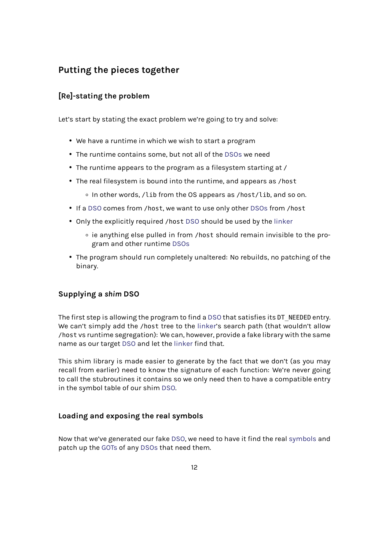## **Putting the pieces together**

## <span id="page-11-0"></span>**[Re]-stating the problem**

<span id="page-11-1"></span>Let's start by stating the exact problem we're going to try and solve:

- We have a runtime in which we wish to start a program
- The runtime contains some, but not all of the DSOs we need
- The runtime appears to the program as a filesystem starting at /
- The real filesystem is bound into the runtime, [and a](#page-1-1)ppears as /host
	- In other words, /lib from the OS appears as /host/lib, and so on.
- If a DSO comes from /host, we want to use only other DSOs from /host
- Only the explicitly required /host DSO should be used by the linker
	- ie anything else pulled in from /host should re[main i](#page-1-1)nvisible to the pro[gra](#page-1-1)m and other runtime DSOs
- The program should run complet[ely un](#page-1-1)altered: No rebuilds, [no patc](#page-2-0)hing of the binary.

## **Supplying a** *shim* **DSO**

<span id="page-11-2"></span>The first step is allowing the program to find a DSO that satisfies its DT\_NEEDED entry. We can't simply add the /host tree to the linker's search path (that wouldn't allow /host vs runtime segregation): We can, however, provide a fake library with the same name as our target DSO and let the linker find [that](#page-1-1).

This shim library is made easier to gener[ate by](#page-2-0) the fact that we don't (as you may recall from earlier) need to know the signature of each function: We're never going to call the stubrout[ines](#page-1-1) it contains [so we](#page-2-0) only need then to have a compatible entry in the symbol table of our shim DSO.

## **Loading and exposing the r[eal s](#page-1-1)ymbols**

<span id="page-11-3"></span>Now that we've generated our fake DSO, we need to have it find the real symbols and patch up the GOTs of any DSOs that need them.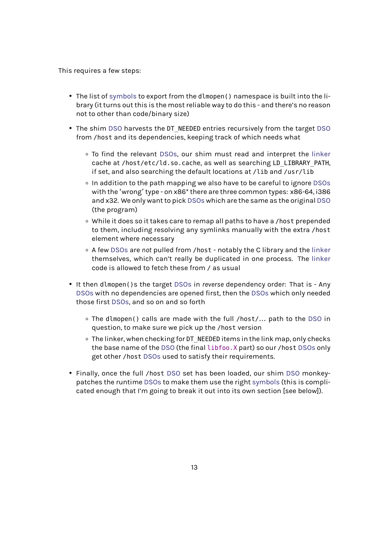This requires a few steps:

- The list of symbols to export from the dlmopen() namespace is built into the library (it turns out this is the most reliable way to do this - and there's no reason not to other than code/binary size)
- The shim [DSO](#page-2-2) harvests the DT\_NEEDED entries recursively from the target DSO from /host and its dependencies, keeping track of which needs what
	- To find the relevant DSOs, our shim must read and interpret the linker cach[e at](#page-1-1) /host/etc/ld.so.cache, as well as searching LD\_LIBRARY\_[PATH](#page-1-1), if set, and also searching the default locations at /lib and /usr/lib
	- In addition to the pa[th map](#page-1-1)ping we also have to be careful to ignore [DSOs](#page-2-0) with the 'wrong'type - on x86\* there are three common types: x86-64, i386 and x32. We only want to pick DSOs which are the same as the original DSO (the program)
	- While it does so it takes care to remap all paths to have a /host prep[ended](#page-1-1) to them, including resolving [any sy](#page-1-1)mlinks manually with the extra /[host](#page-1-1) element where necessary
	- A few DSOs are *not* pulled from /host notably the C library and the linker themselves, which can't really be duplicated in one process. The linker code is allowed to fetch these from / as usual
- It then dl[mopen\(](#page-1-1))s the target DSOs in *reverse* dependency order: That i[s Any](#page-2-0) DSOs with no dependencies are opened first, then the DSOs which only n[eeded](#page-2-0) those first DSOs, and so on and so forth
	- The dlmopen() calls are [made](#page-1-1) with the full /host/… path to the DSO in [q](#page-1-1)uestion, to make sure we pick up the /host vers[ion](#page-1-1)
	- ∘ The li[nker, w](#page-1-1)hen checking for DT\_NEEDED items in the link map, only checks the base name of the DSO (the final libfoo.X part) so our /host DS[Os](#page-1-1) only get other /host DSOs used to satisfy their requirements.
- Finally, once the full /host DSO set has been loaded, our shim DSO monkeypatches the runtime DSOs [to m](#page-1-1)ake them use the right symbols (this [is com](#page-1-1)plicated enough that I'[m goin](#page-1-1)g to break it out into its own section [see below]).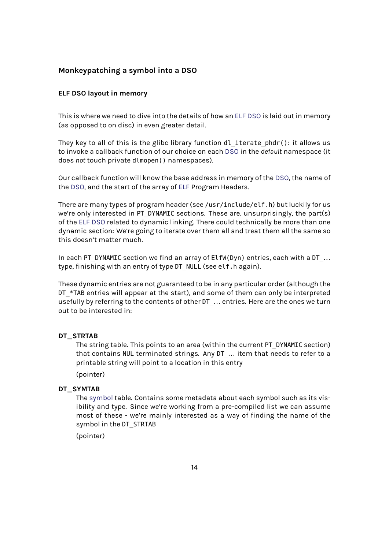## **Monkeypatching a symbol into a DSO**

### <span id="page-13-0"></span>**ELF DSO layout in memory**

This is where we need to dive into the details of how an ELF DSO is laid out in memory (as opposed to on disc) in even greater detail.

They key to all of this is the glibc library function  $d\mathbf{l}$  iterate  $phdr()$ : it allows us to invoke a callback function of our choice on each DSO [in](#page-1-4) [the](#page-1-1) *default* namespace (it does *not* touch private dlmopen() namespaces).

Our callback function will know the base address in memory of the DSO, the name of the DSO, and the start of the array of ELF Program [Heade](#page-1-1)rs.

There are many types of program header (see /usr/include/elf.h) but luckily for us we'[re on](#page-1-1)ly interested in PT\_DYNAMIC sections. These are, unsurpri[singly](#page-1-1), the part(s) of the ELF DSO related to dynamic li[nking](#page-1-4). There could technically be more than one dynamic section: We're going to iterate over them all and treat them all the same so this doesn't matter much.

In each [PT](#page-1-4)[\\_DYN](#page-1-1)AMIC section we find an array of ElfW(Dyn) entries, each with a DT ... type, finishing with an entry of type DT\_NULL (see elf.h again).

These dynamic entries are not guaranteed to be in any particular order (although the DT \*TAB entries will appear at the start), and some of them can only be interpreted usefully by referring to the contents of other DT ... entries. Here are the ones we turn out to be interested in:

### **DT\_STRTAB**

The string table. This points to an area (within the current PT\_DYNAMIC section) that contains NUL terminated strings. Any DT\_… item that needs to refer to a printable string will point to a location in this entry

(pointer)

### **DT\_SYMTAB**

The symbol table. Contains some metadata about each symbol such as its visibility and type. Since we're working from a pre-compiled list we can assume most of these - we're mainly interested as a way of finding the name of the sy[mbol in th](#page-2-2)e DT\_STRTAB

(pointer)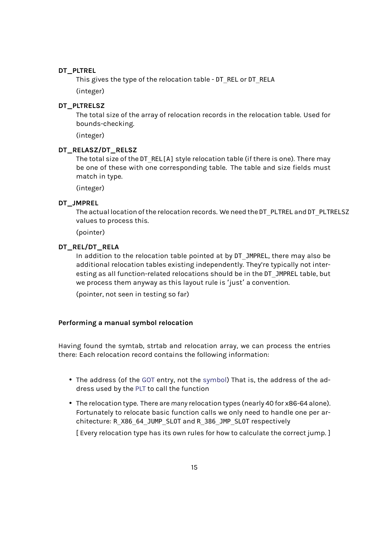### **DT\_PLTREL**

This gives the type of the relocation table - DT\_REL or DT\_RELA

(integer)

#### **DT\_PLTRELSZ**

The total size of the array of relocation records in the relocation table. Used for bounds-checking.

(integer)

#### **DT\_RELASZ/DT\_RELSZ**

The total size of the DT\_REL[A] style relocation table (if there is one). There may be one of these with one corresponding table. The table and size fields must match in type.

(integer)

#### **DT\_JMPREL**

The actual location of the relocation records. We need the DT\_PLTREL and DT\_PLTRELSZ values to process this.

(pointer)

## **DT\_REL/DT\_RELA**

In addition to the relocation table pointed at by DT\_JMPREL, there may also be additional relocation tables existing independently. They're typically not interesting as all function-related relocations should be in the DT\_JMPREL table, but we process them anyway as this layout rule is 'just' a convention.

(pointer, not seen in testing so far)

#### **Performing a manual symbol relocation**

<span id="page-14-0"></span>Having found the symtab, strtab and relocation array, we can process the entries there: Each relocation record contains the following information:

- The address (of the GOT entry, not the symbol) That is, the address of the address used by the PLT to call the function
- The relocation type. There are *many* relocation types (nearly 40 for x86-64 alone). Fortunately to reloc[ate b](#page-1-3)asic function [calls we](#page-2-2) only need to handle one per architecture: R\_X86[\\_64\\_](#page-2-1)JUMP\_SLOT and R\_386\_JMP\_SLOT respectively

[ Every relocation type has its own rules for how to calculate the correct jump. ]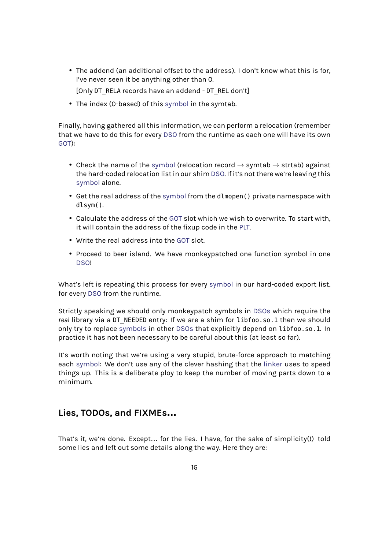• The addend (an additional offset to the address). I don't know what this is for, I've never seen it be anything other than 0.

[Only DT\_RELA records have an addend - DT\_REL don't]

• The index (0-based) of this symbol in the symtab.

Finally, having gathered all this information, we can perform a relocation (remember that we have to do this for every [DSO](#page-2-2) from the runtime as each one will have its own GOT):

- Check the name of the sy[mbol](#page-1-1) (relocation record  $\rightarrow$  symtab  $\rightarrow$  strtab) against the hard-coded relocation list in our shim DSO. If it's not there we're leaving this symbol alone.
- Get the real address of the [sym](#page-2-2)bol from the dlmopen() private namespace with dlsym().
- [Calcula](#page-2-2)te the address of the GOT slot which we wish to overwrite. To start with, it will contain the address [of the fi](#page-2-2)xup code in the PLT.
- Write the real address into the GOT slot.
- Proceed to beer island. We [have](#page-1-3) monkeypatched [one](#page-2-1) function symbol in one DSO!

What's left is repeating this process for every symbol in our hard-coded export list, for ev[ery](#page-1-1) DSO from the runtime.

Strictly speaking we should only monkeypatch symbols in DSOs which require the *real* library via a DT\_NEEDED entry: If we are a [shim for](#page-2-2) libfoo.so.1 then we should only tryt[o rep](#page-1-1)lace symbols in other DSOs that explicitly depend on libfoo.so.1. In practice it has not been necessary to be careful about this([at leas](#page-1-1)t so far).

It's worth noting that we're using a very stupid, brute-force approach to matching each symbol: We [don't use](#page-2-2) any oft[he cle](#page-1-1)ver hashing that the linker uses to speed things up. This is a deliberate ploy to keep the number of moving parts down to a minimum.

## **Lies, TODOs, and FIXMEs…**

That's it, we're done. Except… for the lies. I have, for the sake of simplicity(!) told some lies and left out some details along the way. Here they are: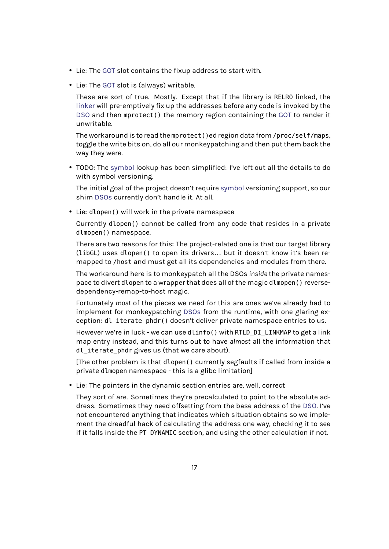- Lie: The GOT slot contains the fixup address to start with.
- Lie: The GOT slot is (always) writable.

These are sort of true. Mostly. Except that if the library is RELRO linked, the linker w[ill pr](#page-1-3)e-emptively fix up the addresses before any code is invoked by the DSO an[d the](#page-1-3)n mprotect() the memory region containing the GOT to render it unwritable.

[The wo](#page-2-0)rkaround is to read the mprotect()ed region data from /proc/self/maps, [togg](#page-1-1)le the write bits on, do all our monkeypatching and then p[ut the](#page-1-3)m back the way they were.

• TODO: The symbol lookup has been simplified: I've left out all the details to do with symbol versioning.

The initial goal of the project doesn't require symbol versioning support, so our shim DSOs [curren](#page-2-2)tly don't handle it. At all.

• Lie: dlopen() will work in the private namespace

Currently dlopen() cannot be called from [any code](#page-2-2) that resides in a private dlmo[pen\(\)](#page-1-1) namespace.

There are two reasons for this: The project-related one is that our target library (libGL) uses dlopen() to open its drivers… but it doesn't know it's been remapped to /host and must get all its dependencies and modules from there.

The workaround here is to monkeypatch all the DSOs *inside* the private namespace to divert dlopen to a wrapper that does all of the magic dlmopen() reversedependency-remap-to-host magic.

Fortunately *most* of the pieces we need for this are ones we've already had to implement for monkeypatching DSOs from the runtime, with one glaring exception: dl\_iterate\_phdr() doesn't deliver private namespace entries to us.

However we're in luck - we can use dlinfo() with RTLD DI LINKMAP to get a link map entry instead, and this tur[ns out](#page-1-1) to have *almost* all the information that dl iterate phdr gives us (that we care about).

[The other problem is that dlopen() currently segfaults if called from inside a private dlmopen namespace - this is a glibc limitation]

• Lie: The pointers in the dynamic section entries are, well, correct

They sort of are. Sometimes they're precalculated to point to the absolute address. Sometimes they need offsetting from the base address of the DSO. I've not encountered anything that indicates which situation obtains so we implement the dreadful hack of calculating the address one way, checking it to see if it falls inside the PT\_DYNAMIC section, and using the other calculati[on if n](#page-1-1)ot.